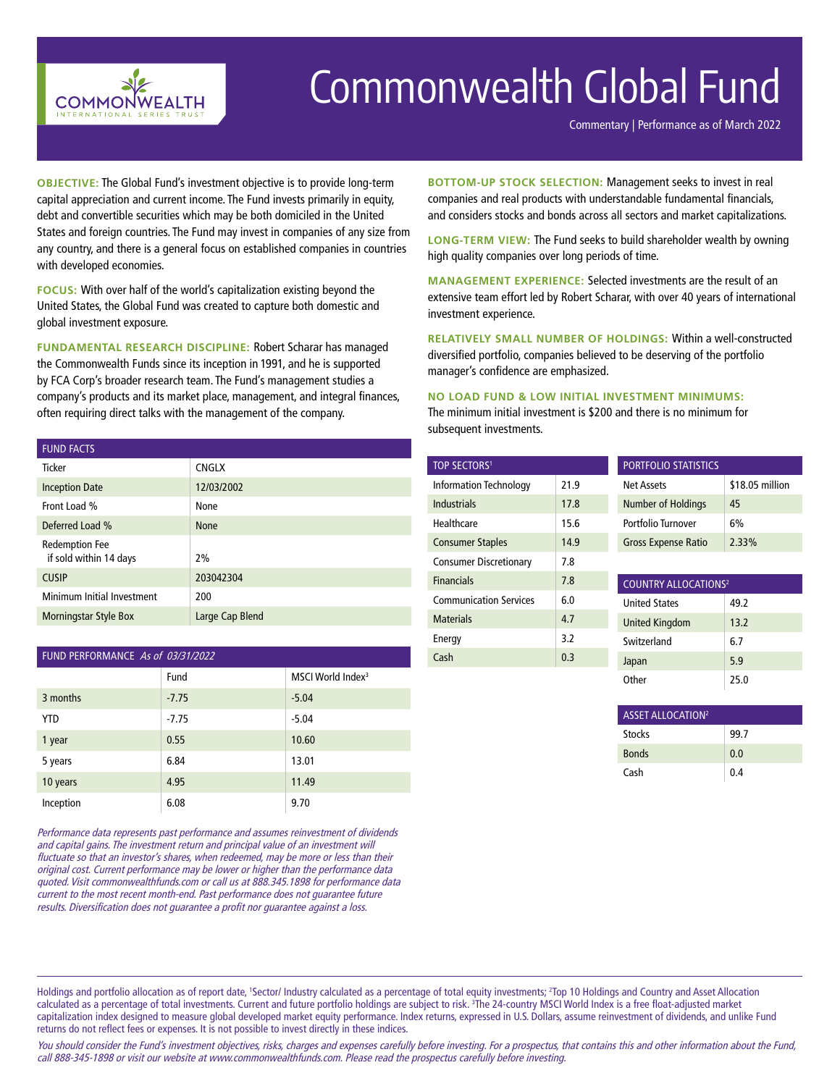

## Commonwealth Global Fund

Commentary | Performance as of March 2022

**OBJECTIVE:** The Global Fund's investment objective is to provide long-term capital appreciation and current income. The Fund invests primarily in equity, debt and convertible securities which may be both domiciled in the United States and foreign countries. The Fund may invest in companies of any size from any country, and there is a general focus on established companies in countries with developed economies.

**FOCUS:** With over half of the world's capitalization existing beyond the United States, the Global Fund was created to capture both domestic and global investment exposure.

**FUNDAMENTAL RESEARCH DISCIPLINE:** Robert Scharar has managed the Commonwealth Funds since its inception in 1991, and he is supported by FCA Corp's broader research team. The Fund's management studies a company's products and its market place, management, and integral finances, often requiring direct talks with the management of the company.

#### FUND FACTS

| .                                               |                 |
|-------------------------------------------------|-----------------|
| <b>Ticker</b>                                   | <b>CNGLX</b>    |
| <b>Inception Date</b>                           | 12/03/2002      |
| Front Load %                                    | None            |
| Deferred Load %                                 | <b>None</b>     |
| <b>Redemption Fee</b><br>if sold within 14 days | 2%              |
| <b>CUSIP</b>                                    | 203042304       |
| Minimum Initial Investment                      | 200             |
| <b>Morningstar Style Box</b>                    | Large Cap Blend |

| FUND PERFORMANCE As of 03/31/2022 |         |                               |  |
|-----------------------------------|---------|-------------------------------|--|
|                                   | Fund    | MSCI World Index <sup>3</sup> |  |
| 3 months                          | $-7.75$ | $-5.04$                       |  |
| <b>YTD</b>                        | $-7.75$ | $-5.04$                       |  |
| 1 year                            | 0.55    | 10.60                         |  |
| 5 years                           | 6.84    | 13.01                         |  |
| 10 years                          | 4.95    | 11.49                         |  |
| Inception                         | 6.08    | 9.70                          |  |

Performance data represents past performance and assumes reinvestment of dividends and capital gains. The investment return and principal value of an investment will fluctuate so that an investor's shares, when redeemed, may be more or less than their original cost. Current performance may be lower or higher than the performance data quoted. Visit commonwealthfunds.com or call us at 888.345.1898 for performance data current to the most recent month-end. Past performance does not guarantee future results. Diversification does not guarantee a profit nor guarantee against a loss.

**BOTTOM-UP STOCK SELECTION:** Management seeks to invest in real companies and real products with understandable fundamental financials, and considers stocks and bonds across all sectors and market capitalizations.

**LONG-TERM VIEW:** The Fund seeks to build shareholder wealth by owning high quality companies over long periods of time.

**MANAGEMENT EXPERIENCE:** Selected investments are the result of an extensive team effort led by Robert Scharar, with over 40 years of international investment experience.

**RELATIVELY SMALL NUMBER OF HOLDINGS:** Within a well-constructed diversified portfolio, companies believed to be deserving of the portfolio manager's confidence are emphasized.

## **NO LOAD FUND & LOW INITIAL INVESTMENT MINIMUMS:**

The minimum initial investment is \$200 and there is no minimum for subsequent investments.

| <b>TOP SECTORS1</b>           |      | <b>PORTFOLIO STATISTICS</b>            |                 |
|-------------------------------|------|----------------------------------------|-----------------|
| <b>Information Technology</b> | 21.9 | Net Assets                             | \$18.05 million |
| Industrials                   | 17.8 | Number of Holdings                     | 45              |
| Healthcare                    | 15.6 | Portfolio Turnover                     | 6%              |
| <b>Consumer Staples</b>       | 14.9 | <b>Gross Expense Ratio</b>             | 2.33%           |
| <b>Consumer Discretionary</b> | 7.8  |                                        |                 |
| <b>Financials</b>             | 7.8  | <b>COUNTRY ALLOCATIONS<sup>2</sup></b> |                 |
| <b>Communication Services</b> | 6.0  | <b>United States</b>                   | 49.2            |
| <b>Materials</b>              | 4.7  | <b>United Kingdom</b>                  | 13.2            |
| Energy                        | 3.2  | Switzerland                            | 6.7             |
| Cash                          | 0.3  | Japan                                  | 5.9             |
|                               |      | Other                                  | 25.0            |

| ASSET ALLOCATION <sup>2</sup> |      |  |
|-------------------------------|------|--|
| <b>Stocks</b>                 | 99.7 |  |
| <b>Bonds</b>                  | 0.0  |  |
| Cash                          | 0.4  |  |

Holdings and portfolio allocation as of report date, 'Sector/ Industry calculated as a percentage of total equity investments; <sup>2</sup>Top 10 Holdings and Country and Asset Allocation calculated as a percentage of total investments. Current and future portfolio holdings are subject to risk. 3 The 24-country MSCI World Index is a free float-adjusted market capitalization index designed to measure global developed market equity performance. Index returns, expressed in U.S. Dollars, assume reinvestment of dividends, and unlike Fund returns do not reflect fees or expenses. It is not possible to invest directly in these indices.

You should consider the Fund's investment objectives, risks, charges and expenses carefully before investing. For a prospectus, that contains this and other information about the Fund, call 888-345-1898 or visit our website at www.commonwealthfunds.com. Please read the prospectus carefully before investing.